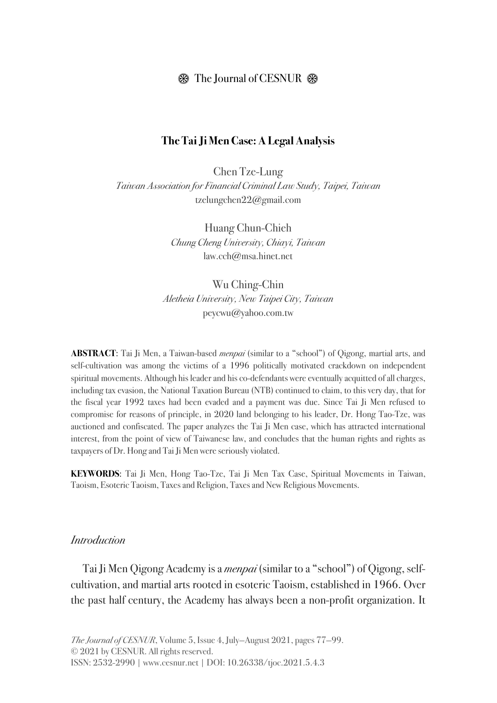### $\circledast$  The Journal of CESNUR  $\circledast$

#### **The Tai Ji Men Case: A Legal Analysis**

Chen Tze-Lung *Taiwan Association for Financial Criminal Law Study, Taipei, Taiwan* tzelungchen22@gmail.com

> Huang Chun-Chieh *Chung Cheng University, Chiayi, Taiwan* law.cch@msa.hinet.net

Wu Ching-Chin *Aletheia University, New Taipei City, Taiwan* peycwu@yahoo.com.tw

**ABSTRACT**: Tai Ji Men, a Taiwan-based *menpai* (similar to a "school") of Qigong, martial arts, and self-cultivation was among the victims of a 1996 politically motivated crackdown on independent spiritual movements. Although his leader and his co-defendants were eventually acquitted of all charges, including tax evasion, the National Taxation Bureau (NTB) continued to claim, to this very day, that for the fiscal year 1992 taxes had been evaded and a payment was due. Since Tai Ji Men refused to compromise for reasons of principle, in 2020 land belonging to his leader, Dr. Hong Tao-Tze, was auctioned and confiscated. The paper analyzes the Tai Ji Men case, which has attracted international interest, from the point of view of Taiwanese law, and concludes that the human rights and rights as taxpayers of Dr. Hong and Tai Ji Men were seriously violated.

**KEYWORDS**: Tai Ji Men, Hong Tao-Tze, Tai Ji Men Tax Case, Spiritual Movements in Taiwan, Taoism, Esoteric Taoism, Taxes and Religion, Taxes and New Religious Movements.

#### *Introduction*

Tai Ji Men Qigong Academy is a *menpai* (similar to a "school") of Qigong, selfcultivation, and martial arts rooted in esoteric Taoism, established in 1966. Over the past half century, the Academy has always been a non-profit organization. It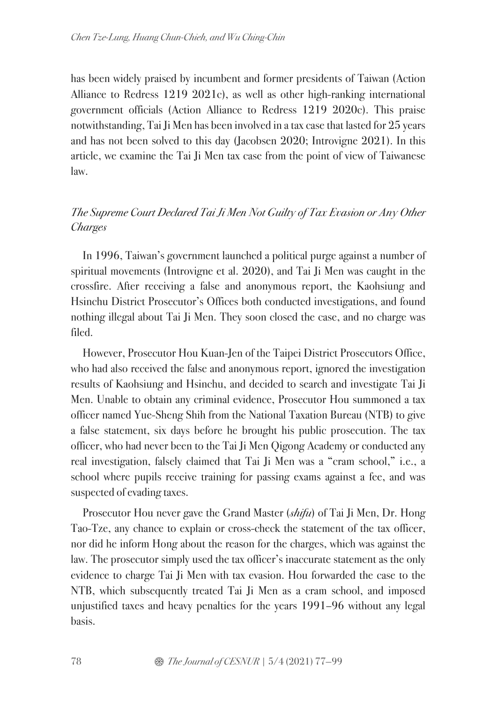has been widely praised by incumbent and former presidents of Taiwan (Action Alliance to Redress 1219 2021c), as well as other high-ranking international government officials (Action Alliance to Redress 1219 2020c). This praise notwithstanding, Tai Ji Men has been involved in a tax case that lasted for 25 years and has not been solved to this day (Jacobsen 2020; Introvigne 2021). In this article, we examine the Tai Ji Men tax case from the point of view of Taiwanese law.

# *The Supreme Court Declared Tai Ji Men Not Guilty of Tax Evasion or Any Other Charges*

In 1996, Taiwan's government launched a political purge against a number of spiritual movements (Introvigne et al. 2020), and Tai Ji Men was caught in the crossfire. After receiving a false and anonymous report, the Kaohsiung and Hsinchu District Prosecutor's Offices both conducted investigations, and found nothing illegal about Tai Ji Men. They soon closed the case, and no charge was filed.

However, Prosecutor Hou Kuan-Jen of the Taipei District Prosecutors Office, who had also received the false and anonymous report, ignored the investigation results of Kaohsiung and Hsinchu, and decided to search and investigate Tai Ji Men. Unable to obtain any criminal evidence, Prosecutor Hou summoned a tax officer named Yue-Sheng Shih from the National Taxation Bureau (NTB) to give a false statement, six days before he brought his public prosecution. The tax officer, who had never been to the Tai Ji Men Qigong Academy or conducted any real investigation, falsely claimed that Tai Ji Men was a "cram school," i.e., a school where pupils receive training for passing exams against a fee, and was suspected of evading taxes.

Prosecutor Hou never gave the Grand Master (*shifu*) of Tai Ji Men, Dr. Hong Tao-Tze, any chance to explain or cross-check the statement of the tax officer, nor did he inform Hong about the reason for the charges, which was against the law. The prosecutor simply used the tax officer's inaccurate statement as the only evidence to charge Tai Ji Men with tax evasion. Hou forwarded the case to the NTB, which subsequently treated Tai Ji Men as a cram school, and imposed unjustified taxes and heavy penalties for the years 1991–96 without any legal basis.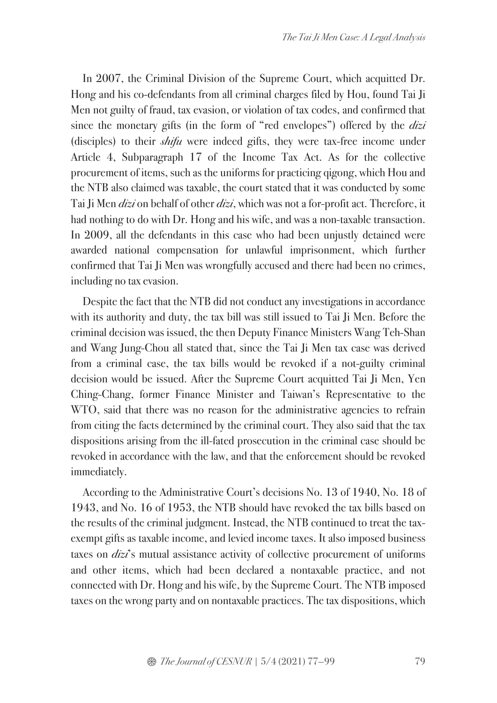In 2007, the Criminal Division of the Supreme Court, which acquitted Dr. Hong and his co-defendants from all criminal charges filed by Hou, found Tai Ji Men not guilty of fraud, tax evasion, or violation of tax codes, and confirmed that since the monetary gifts (in the form of "red envelopes") offered by the *dizi*  (disciples) to their *shifu* were indeed gifts, they were tax-free income under Article 4, Subparagraph 17 of the Income Tax Act. As for the collective procurement of items, such as the uniforms for practicing qigong, which Hou and the NTB also claimed was taxable, the court stated that it was conducted by some Tai Ji Men *dizi* on behalf of other *dizi*, which was not a for-profit act. Therefore, it had nothing to do with Dr. Hong and his wife, and was a non-taxable transaction. In 2009, all the defendants in this case who had been unjustly detained were awarded national compensation for unlawful imprisonment, which further confirmed that Tai Ji Men was wrongfully accused and there had been no crimes, including no tax evasion.

Despite the fact that the NTB did not conduct any investigations in accordance with its authority and duty, the tax bill was still issued to Tai Ji Men. Before the criminal decision was issued, the then Deputy Finance Ministers Wang Teh-Shan and Wang Jung-Chou all stated that, since the Tai Ji Men tax case was derived from a criminal case, the tax bills would be revoked if a not-guilty criminal decision would be issued. After the Supreme Court acquitted Tai Ji Men, Yen Ching-Chang, former Finance Minister and Taiwan's Representative to the WTO, said that there was no reason for the administrative agencies to refrain from citing the facts determined by the criminal court. They also said that the tax dispositions arising from the ill-fated prosecution in the criminal case should be revoked in accordance with the law, and that the enforcement should be revoked immediately.

According to the Administrative Court's decisions No. 13 of 1940, No. 18 of 1943, and No. 16 of 1953, the NTB should have revoked the tax bills based on the results of the criminal judgment. Instead, the NTB continued to treat the taxexempt gifts as taxable income, and levied income taxes. It also imposed business taxes on *dizi*'s mutual assistance activity of collective procurement of uniforms and other items, which had been declared a nontaxable practice, and not connected with Dr. Hong and his wife, by the Supreme Court. The NTB imposed taxes on the wrong party and on nontaxable practices. The tax dispositions, which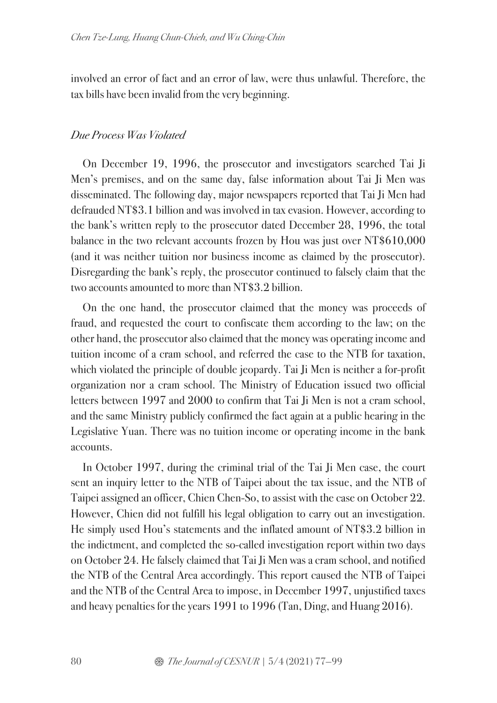involved an error of fact and an error of law, were thus unlawful. Therefore, the tax bills have been invalid from the very beginning.

### *Due Process Was Violated*

On December 19, 1996, the prosecutor and investigators searched Tai Ji Men's premises, and on the same day, false information about Tai Ji Men was disseminated. The following day, major newspapers reported that Tai Ji Men had defrauded NT\$3.1 billion and was involved in tax evasion. However, according to the bank's written reply to the prosecutor dated December 28, 1996, the total balance in the two relevant accounts frozen by Hou was just over NT\$610,000 (and it was neither tuition nor business income as claimed by the prosecutor). Disregarding the bank's reply, the prosecutor continued to falsely claim that the two accounts amounted to more than NT\$3.2 billion.

On the one hand, the prosecutor claimed that the money was proceeds of fraud, and requested the court to confiscate them according to the law; on the other hand, the prosecutor also claimed that the money was operating income and tuition income of a cram school, and referred the case to the NTB for taxation, which violated the principle of double jeopardy. Tai Ji Men is neither a for-profit organization nor a cram school. The Ministry of Education issued two official letters between 1997 and 2000 to confirm that Tai Ji Men is not a cram school, and the same Ministry publicly confirmed the fact again at a public hearing in the Legislative Yuan. There was no tuition income or operating income in the bank accounts.

In October 1997, during the criminal trial of the Tai Ji Men case, the court sent an inquiry letter to the NTB of Taipei about the tax issue, and the NTB of Taipei assigned an officer, Chien Chen-So, to assist with the case on October 22. However, Chien did not fulfill his legal obligation to carry out an investigation. He simply used Hou's statements and the inflated amount of NT\$3.2 billion in the indictment, and completed the so-called investigation report within two days on October 24. He falsely claimed that Tai Ji Men was a cram school, and notified the NTB of the Central Area accordingly. This report caused the NTB of Taipei and the NTB of the Central Area to impose, in December 1997, unjustified taxes and heavy penalties for the years 1991 to 1996 (Tan, Ding, and Huang 2016).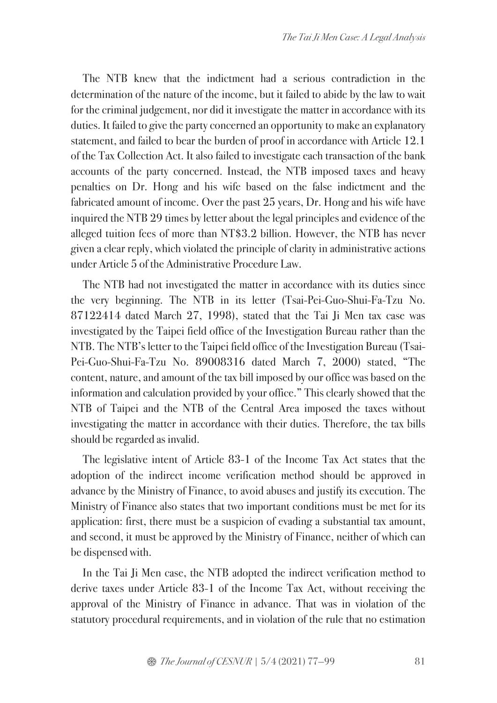The NTB knew that the indictment had a serious contradiction in the determination of the nature of the income, but it failed to abide by the law to wait for the criminal judgement, nor did it investigate the matter in accordance with its duties. It failed to give the party concerned an opportunity to make an explanatory statement, and failed to bear the burden of proof in accordance with Article 12.1 of the Tax Collection Act. It also failed to investigate each transaction of the bank accounts of the party concerned. Instead, the NTB imposed taxes and heavy penalties on Dr. Hong and his wife based on the false indictment and the fabricated amount of income. Over the past 25 years, Dr. Hong and his wife have inquired the NTB 29 times by letter about the legal principles and evidence of the alleged tuition fees of more than NT\$3.2 billion. However, the NTB has never given a clear reply, which violated the principle of clarity in administrative actions under Article 5 of the Administrative Procedure Law.

The NTB had not investigated the matter in accordance with its duties since the very beginning. The NTB in its letter (Tsai-Pei-Guo-Shui-Fa-Tzu No. 87122414 dated March 27, 1998), stated that the Tai Ji Men tax case was investigated by the Taipei field office of the Investigation Bureau rather than the NTB. The NTB's letter to the Taipei field office of the Investigation Bureau (Tsai-Pei-Guo-Shui-Fa-Tzu No. 89008316 dated March 7, 2000) stated, "The content, nature, and amount of the tax bill imposed by our office was based on the information and calculation provided by your office." This clearly showed that the NTB of Taipei and the NTB of the Central Area imposed the taxes without investigating the matter in accordance with their duties. Therefore, the tax bills should be regarded as invalid.

The legislative intent of Article 83-1 of the Income Tax Act states that the adoption of the indirect income verification method should be approved in advance by the Ministry of Finance, to avoid abuses and justify its execution. The Ministry of Finance also states that two important conditions must be met for its application: first, there must be a suspicion of evading a substantial tax amount, and second, it must be approved by the Ministry of Finance, neither of which can be dispensed with.

In the Tai Ji Men case, the NTB adopted the indirect verification method to derive taxes under Article 83-1 of the Income Tax Act, without receiving the approval of the Ministry of Finance in advance. That was in violation of the statutory procedural requirements, and in violation of the rule that no estimation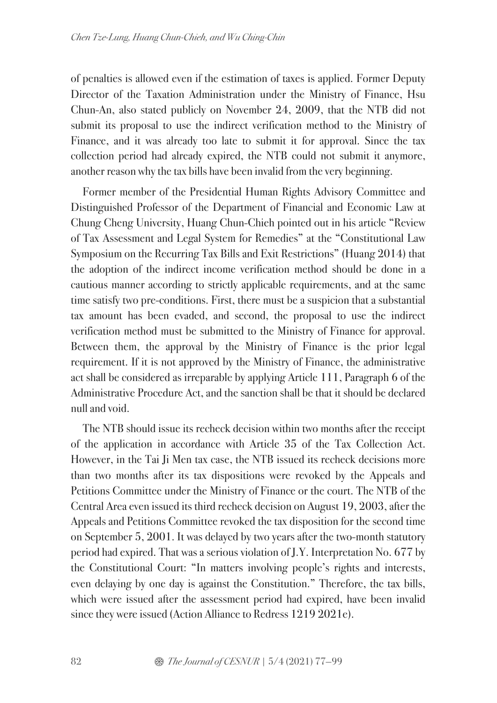of penalties is allowed even if the estimation of taxes is applied. Former Deputy Director of the Taxation Administration under the Ministry of Finance, Hsu Chun-An, also stated publicly on November 24, 2009, that the NTB did not submit its proposal to use the indirect verification method to the Ministry of Finance, and it was already too late to submit it for approval. Since the tax collection period had already expired, the NTB could not submit it anymore, another reason why the tax bills have been invalid from the very beginning.

Former member of the Presidential Human Rights Advisory Committee and Distinguished Professor of the Department of Financial and Economic Law at Chung Cheng University, Huang Chun-Chieh pointed out in his article "Review of Tax Assessment and Legal System for Remedies" at the "Constitutional Law Symposium on the Recurring Tax Bills and Exit Restrictions" (Huang 2014) that the adoption of the indirect income verification method should be done in a cautious manner according to strictly applicable requirements, and at the same time satisfy two pre-conditions. First, there must be a suspicion that a substantial tax amount has been evaded, and second, the proposal to use the indirect verification method must be submitted to the Ministry of Finance for approval. Between them, the approval by the Ministry of Finance is the prior legal requirement. If it is not approved by the Ministry of Finance, the administrative act shall be considered as irreparable by applying Article 111, Paragraph 6 of the Administrative Procedure Act, and the sanction shall be that it should be declared null and void.

The NTB should issue its recheck decision within two months after the receipt of the application in accordance with Article 35 of the Tax Collection Act. However, in the Tai Ji Men tax case, the NTB issued its recheck decisions more than two months after its tax dispositions were revoked by the Appeals and Petitions Committee under the Ministry of Finance or the court. The NTB of the Central Area even issued its third recheck decision on August 19, 2003, after the Appeals and Petitions Committee revoked the tax disposition for the second time on September 5, 2001. It was delayed by two years after the two-month statutory period had expired. That was a serious violation of J.Y. Interpretation No. 677 by the Constitutional Court: "In matters involving people's rights and interests, even delaying by one day is against the Constitution." Therefore, the tax bills, which were issued after the assessment period had expired, have been invalid since they were issued (Action Alliance to Redress 1219 2021e).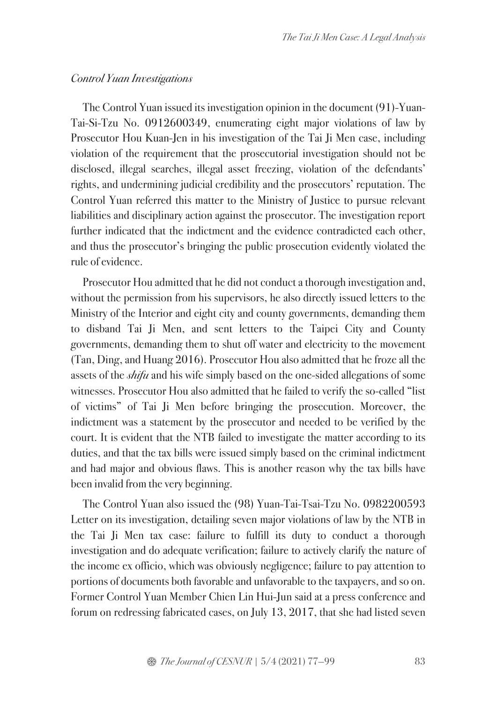#### *Control Yuan Investigations*

The Control Yuan issued its investigation opinion in the document (91)-Yuan-Tai-Si-Tzu No. 0912600349, enumerating eight major violations of law by Prosecutor Hou Kuan-Jen in his investigation of the Tai Ji Men case, including violation of the requirement that the prosecutorial investigation should not be disclosed, illegal searches, illegal asset freezing, violation of the defendants' rights, and undermining judicial credibility and the prosecutors' reputation. The Control Yuan referred this matter to the Ministry of Justice to pursue relevant liabilities and disciplinary action against the prosecutor. The investigation report further indicated that the indictment and the evidence contradicted each other, and thus the prosecutor's bringing the public prosecution evidently violated the rule of evidence.

Prosecutor Hou admitted that he did not conduct a thorough investigation and, without the permission from his supervisors, he also directly issued letters to the Ministry of the Interior and eight city and county governments, demanding them to disband Tai Ji Men, and sent letters to the Taipei City and County governments, demanding them to shut off water and electricity to the movement (Tan, Ding, and Huang 2016). Prosecutor Hou also admitted that he froze all the assets of the *shifu* and his wife simply based on the one-sided allegations of some witnesses. Prosecutor Hou also admitted that he failed to verify the so-called "list of victims" of Tai Ji Men before bringing the prosecution. Moreover, the indictment was a statement by the prosecutor and needed to be verified by the court. It is evident that the NTB failed to investigate the matter according to its duties, and that the tax bills were issued simply based on the criminal indictment and had major and obvious flaws. This is another reason why the tax bills have been invalid from the very beginning.

The Control Yuan also issued the (98) Yuan-Tai-Tsai-Tzu No. 0982200593 Letter on its investigation, detailing seven major violations of law by the NTB in the Tai Ji Men tax case: failure to fulfill its duty to conduct a thorough investigation and do adequate verification; failure to actively clarify the nature of the income ex officio, which was obviously negligence; failure to pay attention to portions of documents both favorable and unfavorable to the taxpayers, and so on. Former Control Yuan Member Chien Lin Hui-Jun said at a press conference and forum on redressing fabricated cases, on July 13, 2017, that she had listed seven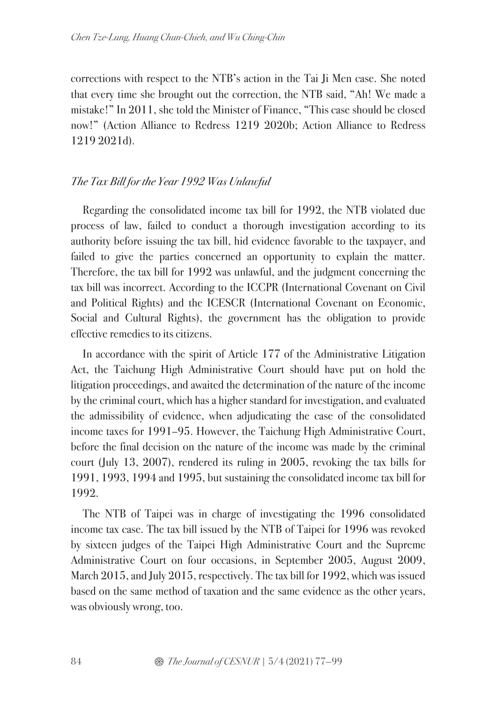corrections with respect to the NTB's action in the Tai Ji Men case. She noted that every time she brought out the correction, the NTB said, "Ah! We made a mistake!" In 2011, she told the Minister of Finance, "This case should be closed now!" (Action Alliance to Redress 1219 2020b; Action Alliance to Redress 1219 2021d).

## *The Tax Bill for the Year 1992 Was Unlawful*

Regarding the consolidated income tax bill for 1992, the NTB violated due process of law, failed to conduct a thorough investigation according to its authority before issuing the tax bill, hid evidence favorable to the taxpayer, and failed to give the parties concerned an opportunity to explain the matter. Therefore, the tax bill for 1992 was unlawful, and the judgment concerning the tax bill was incorrect. According to the ICCPR (International Covenant on Civil and Political Rights) and the ICESCR (International Covenant on Economic, Social and Cultural Rights), the government has the obligation to provide effective remedies to its citizens.

In accordance with the spirit of Article 177 of the Administrative Litigation Act, the Taichung High Administrative Court should have put on hold the litigation proceedings, and awaited the determination of the nature of the income by the criminal court, which has a higher standard for investigation, and evaluated the admissibility of evidence, when adjudicating the case of the consolidated income taxes for 1991–95. However, the Taichung High Administrative Court, before the final decision on the nature of the income was made by the criminal court (July 13, 2007), rendered its ruling in 2005, revoking the tax bills for 1991, 1993, 1994 and 1995, but sustaining the consolidated income tax bill for 1992.

The NTB of Taipei was in charge of investigating the 1996 consolidated income tax case. The tax bill issued by the NTB of Taipei for 1996 was revoked by sixteen judges of the Taipei High Administrative Court and the Supreme Administrative Court on four occasions, in September 2005, August 2009, March 2015, and July 2015, respectively. The tax bill for 1992, which was issued based on the same method of taxation and the same evidence as the other years, was obviously wrong, too.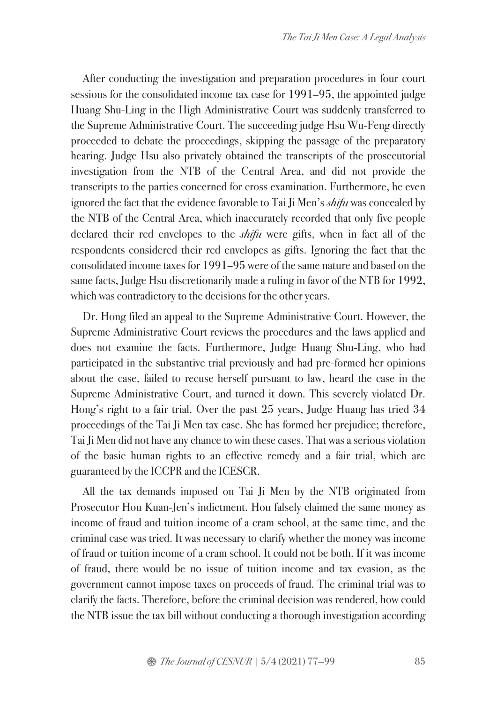After conducting the investigation and preparation procedures in four court sessions for the consolidated income tax case for 1991–95, the appointed judge Huang Shu-Ling in the High Administrative Court was suddenly transferred to the Supreme Administrative Court. The succeeding judge Hsu Wu-Feng directly proceeded to debate the proceedings, skipping the passage of the preparatory hearing. Judge Hsu also privately obtained the transcripts of the prosecutorial investigation from the NTB of the Central Area, and did not provide the transcripts to the parties concerned for cross examination. Furthermore, he even ignored the fact that the evidence favorable to Tai Ji Men's *shifu* was concealed by the NTB of the Central Area, which inaccurately recorded that only five people declared their red envelopes to the *shifu* were gifts, when in fact all of the respondents considered their red envelopes as gifts. Ignoring the fact that the consolidated income taxes for 1991–95 were of the same nature and based on the same facts, Judge Hsu discretionarily made a ruling in favor of the NTB for 1992, which was contradictory to the decisions for the other years.

Dr. Hong filed an appeal to the Supreme Administrative Court. However, the Supreme Administrative Court reviews the procedures and the laws applied and does not examine the facts. Furthermore, Judge Huang Shu-Ling, who had participated in the substantive trial previously and had pre-formed her opinions about the case, failed to recuse herself pursuant to law, heard the case in the Supreme Administrative Court, and turned it down. This severely violated Dr. Hong's right to a fair trial. Over the past 25 years, Judge Huang has tried 34 proceedings of the Tai Ji Men tax case. She has formed her prejudice; therefore, Tai Ji Men did not have any chance to win these cases. That was a serious violation of the basic human rights to an effective remedy and a fair trial, which are guaranteed by the ICCPR and the ICESCR.

All the tax demands imposed on Tai Ji Men by the NTB originated from Prosecutor Hou Kuan-Jen's indictment. Hou falsely claimed the same money as income of fraud and tuition income of a cram school, at the same time, and the criminal case was tried. It was necessary to clarify whether the money was income of fraud or tuition income of a cram school. It could not be both. If it was income of fraud, there would be no issue of tuition income and tax evasion, as the government cannot impose taxes on proceeds of fraud. The criminal trial was to clarify the facts. Therefore, before the criminal decision was rendered, how could the NTB issue the tax bill without conducting a thorough investigation according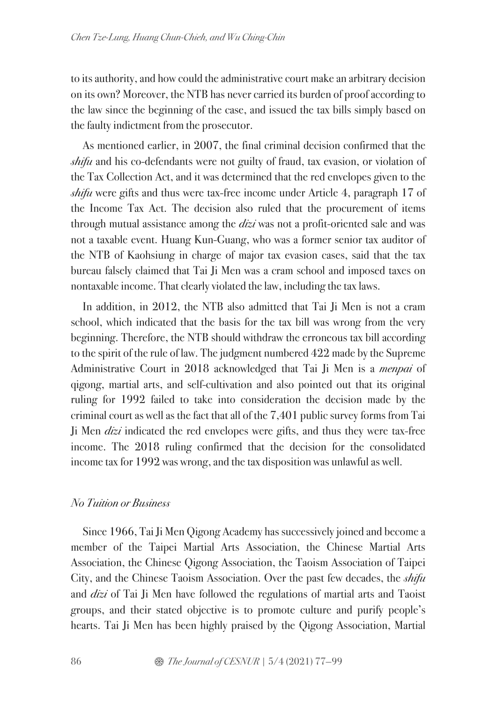to its authority, and how could the administrative court make an arbitrary decision on its own? Moreover, the NTB has never carried its burden of proof according to the law since the beginning of the case, and issued the tax bills simply based on the faulty indictment from the prosecutor.

As mentioned earlier, in 2007, the final criminal decision confirmed that the *shifu* and his co-defendants were not guilty of fraud, tax evasion, or violation of the Tax Collection Act, and it was determined that the red envelopes given to the *shifu* were gifts and thus were tax-free income under Article 4, paragraph 17 of the Income Tax Act. The decision also ruled that the procurement of items through mutual assistance among the *dizi* was not a profit-oriented sale and was not a taxable event. Huang Kun-Guang, who was a former senior tax auditor of the NTB of Kaohsiung in charge of major tax evasion cases, said that the tax bureau falsely claimed that Tai Ji Men was a cram school and imposed taxes on nontaxable income. That clearly violated the law, including the tax laws.

In addition, in 2012, the NTB also admitted that Tai Ji Men is not a cram school, which indicated that the basis for the tax bill was wrong from the very beginning. Therefore, the NTB should withdraw the erroneous tax bill according to the spirit of the rule of law. The judgment numbered 422 made by the Supreme Administrative Court in 2018 acknowledged that Tai Ji Men is a *menpai* of qigong, martial arts, and self-cultivation and also pointed out that its original ruling for 1992 failed to take into consideration the decision made by the criminal court as well as the fact that all of the 7,401 public survey forms from Tai Ji Men *dizi* indicated the red envelopes were gifts, and thus they were tax-free income. The 2018 ruling confirmed that the decision for the consolidated income tax for 1992 was wrong, and the tax disposition was unlawful as well.

#### *No Tuition or Business*

Since 1966, Tai Ji Men Qigong Academy has successively joined and become a member of the Taipei Martial Arts Association, the Chinese Martial Arts Association, the Chinese Qigong Association, the Taoism Association of Taipei City, and the Chinese Taoism Association. Over the past few decades, the *shifu*  and *dizi* of Tai Ji Men have followed the regulations of martial arts and Taoist groups, and their stated objective is to promote culture and purify people's hearts. Tai Ji Men has been highly praised by the Qigong Association, Martial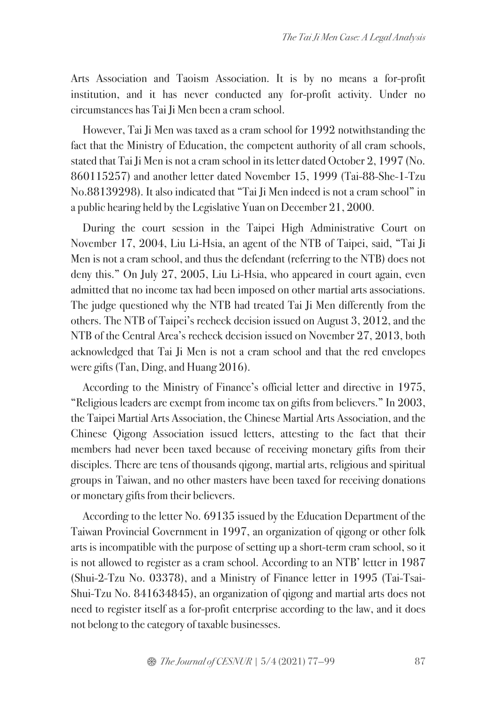Arts Association and Taoism Association. It is by no means a for-profit institution, and it has never conducted any for-profit activity. Under no circumstances has Tai Ji Men been a cram school.

However, Tai Ji Men was taxed as a cram school for 1992 notwithstanding the fact that the Ministry of Education, the competent authority of all cram schools, stated that Tai Ji Men is not a cram school in its letter dated October 2, 1997 (No. 860115257) and another letter dated November 15, 1999 (Tai-88-She-1-Tzu No.88139298). It also indicated that "Tai Ji Men indeed is not a cram school" in a public hearing held by the Legislative Yuan on December 21, 2000.

During the court session in the Taipei High Administrative Court on November 17, 2004, Liu Li-Hsia, an agent of the NTB of Taipei, said, "Tai Ji Men is not a cram school, and thus the defendant (referring to the NTB) does not deny this." On July 27, 2005, Liu Li-Hsia, who appeared in court again, even admitted that no income tax had been imposed on other martial arts associations. The judge questioned why the NTB had treated Tai Ji Men differently from the others. The NTB of Taipei's recheck decision issued on August 3, 2012, and the NTB of the Central Area's recheck decision issued on November 27, 2013, both acknowledged that Tai Ji Men is not a cram school and that the red envelopes were gifts (Tan, Ding, and Huang 2016).

According to the Ministry of Finance's official letter and directive in 1975, "Religious leaders are exempt from income tax on gifts from believers." In 2003, the Taipei Martial Arts Association, the Chinese Martial Arts Association, and the Chinese Qigong Association issued letters, attesting to the fact that their members had never been taxed because of receiving monetary gifts from their disciples. There are tens of thousands qigong, martial arts, religious and spiritual groups in Taiwan, and no other masters have been taxed for receiving donations or monetary gifts from their believers.

According to the letter No. 69135 issued by the Education Department of the Taiwan Provincial Government in 1997, an organization of qigong or other folk arts is incompatible with the purpose of setting up a short-term cram school, so it is not allowed to register as a cram school. According to an NTB' letter in 1987 (Shui-2-Tzu No. 03378), and a Ministry of Finance letter in 1995 (Tai-Tsai-Shui-Tzu No. 841634845), an organization of qigong and martial arts does not need to register itself as a for-profit enterprise according to the law, and it does not belong to the category of taxable businesses.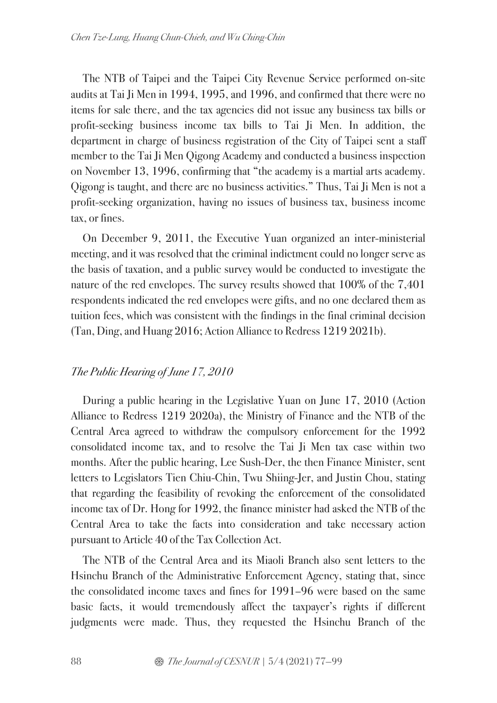The NTB of Taipei and the Taipei City Revenue Service performed on-site audits at Tai Ji Men in 1994, 1995, and 1996, and confirmed that there were no items for sale there, and the tax agencies did not issue any business tax bills or profit-seeking business income tax bills to Tai Ji Men. In addition, the department in charge of business registration of the City of Taipei sent a staff member to the Tai Ji Men Qigong Academy and conducted a business inspection on November 13, 1996, confirming that "the academy is a martial arts academy. Qigong is taught, and there are no business activities." Thus, Tai Ji Men is not a profit-seeking organization, having no issues of business tax, business income tax, or fines.

On December 9, 2011, the Executive Yuan organized an inter-ministerial meeting, and it was resolved that the criminal indictment could no longer serve as the basis of taxation, and a public survey would be conducted to investigate the nature of the red envelopes. The survey results showed that 100% of the 7,401 respondents indicated the red envelopes were gifts, and no one declared them as tuition fees, which was consistent with the findings in the final criminal decision (Tan, Ding, and Huang 2016; Action Alliance to Redress 1219 2021b).

## *The Public Hearing of June 17, 2010*

During a public hearing in the Legislative Yuan on June 17, 2010 (Action Alliance to Redress 1219 2020a), the Ministry of Finance and the NTB of the Central Area agreed to withdraw the compulsory enforcement for the 1992 consolidated income tax, and to resolve the Tai Ji Men tax case within two months. After the public hearing, Lee Sush-Der, the then Finance Minister, sent letters to Legislators Tien Chiu-Chin, Twu Shiing-Jer, and Justin Chou, stating that regarding the feasibility of revoking the enforcement of the consolidated income tax of Dr. Hong for 1992, the finance minister had asked the NTB of the Central Area to take the facts into consideration and take necessary action pursuant to Article 40 of the Tax Collection Act.

The NTB of the Central Area and its Miaoli Branch also sent letters to the Hsinchu Branch of the Administrative Enforcement Agency, stating that, since the consolidated income taxes and fines for 1991–96 were based on the same basic facts, it would tremendously affect the taxpayer's rights if different judgments were made. Thus, they requested the Hsinchu Branch of the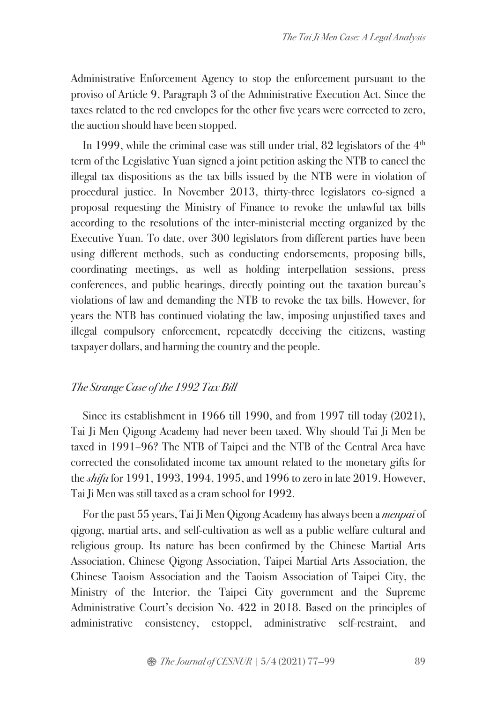Administrative Enforcement Agency to stop the enforcement pursuant to the proviso of Article 9, Paragraph 3 of the Administrative Execution Act. Since the taxes related to the red envelopes for the other five years were corrected to zero, the auction should have been stopped.

In 1999, while the criminal case was still under trial,  $82$  legislators of the  $4<sup>th</sup>$ term of the Legislative Yuan signed a joint petition asking the NTB to cancel the illegal tax dispositions as the tax bills issued by the NTB were in violation of procedural justice. In November 2013, thirty-three legislators co-signed a proposal requesting the Ministry of Finance to revoke the unlawful tax bills according to the resolutions of the inter-ministerial meeting organized by the Executive Yuan. To date, over 300 legislators from different parties have been using different methods, such as conducting endorsements, proposing bills, coordinating meetings, as well as holding interpellation sessions, press conferences, and public hearings, directly pointing out the taxation bureau's violations of law and demanding the NTB to revoke the tax bills. However, for years the NTB has continued violating the law, imposing unjustified taxes and illegal compulsory enforcement, repeatedly deceiving the citizens, wasting taxpayer dollars, and harming the country and the people.

#### *The Strange Case of the 1992 Tax Bill*

Since its establishment in 1966 till 1990, and from 1997 till today (2021), Tai Ji Men Qigong Academy had never been taxed. Why should Tai Ji Men be taxed in 1991–96? The NTB of Taipei and the NTB of the Central Area have corrected the consolidated income tax amount related to the monetary gifts for the *shifu* for 1991, 1993, 1994, 1995, and 1996 to zero in late 2019. However, Tai Ji Men was still taxed as a cram school for 1992.

For the past 55 years, Tai Ji Men Qigong Academy has always been a *menpai* of qigong, martial arts, and self-cultivation as well as a public welfare cultural and religious group. Its nature has been confirmed by the Chinese Martial Arts Association, Chinese Qigong Association, Taipei Martial Arts Association, the Chinese Taoism Association and the Taoism Association of Taipei City, the Ministry of the Interior, the Taipei City government and the Supreme Administrative Court's decision No. 422 in 2018. Based on the principles of administrative consistency, estoppel, administrative self-restraint, and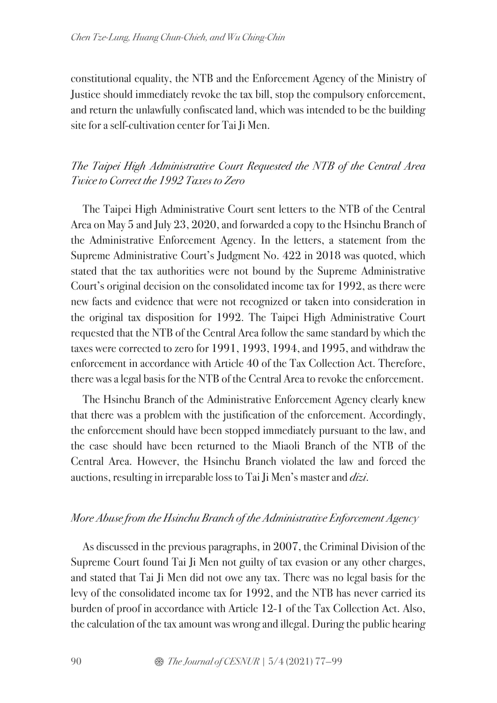constitutional equality, the NTB and the Enforcement Agency of the Ministry of Justice should immediately revoke the tax bill, stop the compulsory enforcement, and return the unlawfully confiscated land, which was intended to be the building site for a self-cultivation center for Tai Ji Men.

# *The Taipei High Administrative Court Requested the NTB of the Central Area Twice to Correct the 1992 Taxes to Zero*

The Taipei High Administrative Court sent letters to the NTB of the Central Area on May 5 and July 23, 2020, and forwarded a copy to the Hsinchu Branch of the Administrative Enforcement Agency. In the letters, a statement from the Supreme Administrative Court's Judgment No. 422 in 2018 was quoted, which stated that the tax authorities were not bound by the Supreme Administrative Court's original decision on the consolidated income tax for 1992, as there were new facts and evidence that were not recognized or taken into consideration in the original tax disposition for 1992. The Taipei High Administrative Court requested that the NTB of the Central Area follow the same standard by which the taxes were corrected to zero for 1991, 1993, 1994, and 1995, and withdraw the enforcement in accordance with Article 40 of the Tax Collection Act. Therefore, there was a legal basis for the NTB of the Central Area to revoke the enforcement.

The Hsinchu Branch of the Administrative Enforcement Agency clearly knew that there was a problem with the justification of the enforcement. Accordingly, the enforcement should have been stopped immediately pursuant to the law, and the case should have been returned to the Miaoli Branch of the NTB of the Central Area. However, the Hsinchu Branch violated the law and forced the auctions, resulting in irreparable loss to Tai Ji Men's master and *dizi*.

#### *More Abuse from the Hsinchu Branch of the Administrative Enforcement Agency*

As discussed in the previous paragraphs, in 2007, the Criminal Division of the Supreme Court found Tai Ji Men not guilty of tax evasion or any other charges, and stated that Tai Ji Men did not owe any tax. There was no legal basis for the levy of the consolidated income tax for 1992, and the NTB has never carried its burden of proof in accordance with Article 12-1 of the Tax Collection Act. Also, the calculation of the tax amount was wrong and illegal. During the public hearing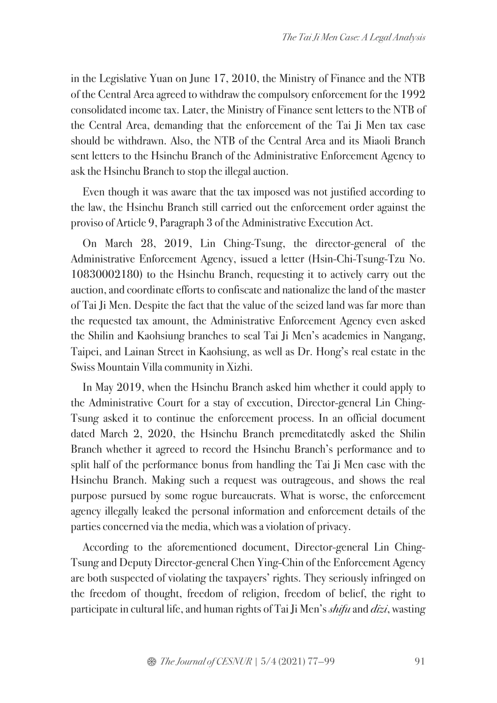in the Legislative Yuan on June 17, 2010, the Ministry of Finance and the NTB of the Central Area agreed to withdraw the compulsory enforcement for the 1992 consolidated income tax. Later, the Ministry of Finance sent letters to the NTB of the Central Area, demanding that the enforcement of the Tai Ji Men tax case should be withdrawn. Also, the NTB of the Central Area and its Miaoli Branch sent letters to the Hsinchu Branch of the Administrative Enforcement Agency to ask the Hsinchu Branch to stop the illegal auction.

Even though it was aware that the tax imposed was not justified according to the law, the Hsinchu Branch still carried out the enforcement order against the proviso of Article 9, Paragraph 3 of the Administrative Execution Act.

On March 28, 2019, Lin Ching-Tsung, the director-general of the Administrative Enforcement Agency, issued a letter (Hsin-Chi-Tsung-Tzu No. 10830002180) to the Hsinchu Branch, requesting it to actively carry out the auction, and coordinate efforts to confiscate and nationalize the land of the master of Tai Ji Men. Despite the fact that the value of the seized land was far more than the requested tax amount, the Administrative Enforcement Agency even asked the Shilin and Kaohsiung branches to seal Tai Ji Men's academies in Nangang, Taipei, and Lainan Street in Kaohsiung, as well as Dr. Hong's real estate in the Swiss Mountain Villa community in Xizhi.

In May 2019, when the Hsinchu Branch asked him whether it could apply to the Administrative Court for a stay of execution, Director-general Lin Ching-Tsung asked it to continue the enforcement process. In an official document dated March 2, 2020, the Hsinchu Branch premeditatedly asked the Shilin Branch whether it agreed to record the Hsinchu Branch's performance and to split half of the performance bonus from handling the Tai Ji Men case with the Hsinchu Branch. Making such a request was outrageous, and shows the real purpose pursued by some rogue bureaucrats. What is worse, the enforcement agency illegally leaked the personal information and enforcement details of the parties concerned via the media, which was a violation of privacy.

According to the aforementioned document, Director-general Lin Ching-Tsung and Deputy Director-general Chen Ying-Chin of the Enforcement Agency are both suspected of violating the taxpayers' rights. They seriously infringed on the freedom of thought, freedom of religion, freedom of belief, the right to participate in cultural life, and human rights of Tai Ji Men's *shifu* and *dizi*, wasting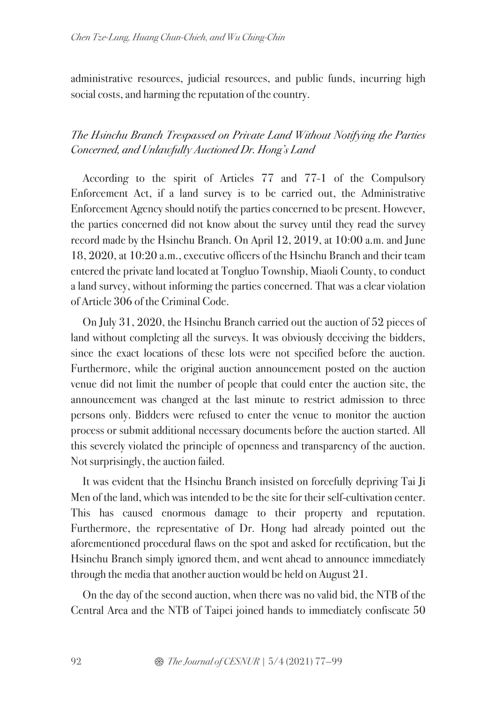administrative resources, judicial resources, and public funds, incurring high social costs, and harming the reputation of the country.

## *The Hsinchu Branch Trespassed on Private Land Without Notifying the Parties Concerned, and Unlawfully Auctioned Dr. Hong's Land*

According to the spirit of Articles 77 and 77-1 of the Compulsory Enforcement Act, if a land survey is to be carried out, the Administrative Enforcement Agency should notify the parties concerned to be present. However, the parties concerned did not know about the survey until they read the survey record made by the Hsinchu Branch. On April 12, 2019, at 10:00 a.m. and June 18, 2020, at 10:20 a.m., executive officers of the Hsinchu Branch and their team entered the private land located at Tongluo Township, Miaoli County, to conduct a land survey, without informing the parties concerned. That was a clear violation of Article 306 of the Criminal Code.

On July 31, 2020, the Hsinchu Branch carried out the auction of 52 pieces of land without completing all the surveys. It was obviously deceiving the bidders, since the exact locations of these lots were not specified before the auction. Furthermore, while the original auction announcement posted on the auction venue did not limit the number of people that could enter the auction site, the announcement was changed at the last minute to restrict admission to three persons only. Bidders were refused to enter the venue to monitor the auction process or submit additional necessary documents before the auction started. All this severely violated the principle of openness and transparency of the auction. Not surprisingly, the auction failed.

It was evident that the Hsinchu Branch insisted on forcefully depriving Tai Ji Men of the land, which was intended to be the site for their self-cultivation center. This has caused enormous damage to their property and reputation. Furthermore, the representative of Dr. Hong had already pointed out the aforementioned procedural flaws on the spot and asked for rectification, but the Hsinchu Branch simply ignored them, and went ahead to announce immediately through the media that another auction would be held on August 21.

On the day of the second auction, when there was no valid bid, the NTB of the Central Area and the NTB of Taipei joined hands to immediately confiscate 50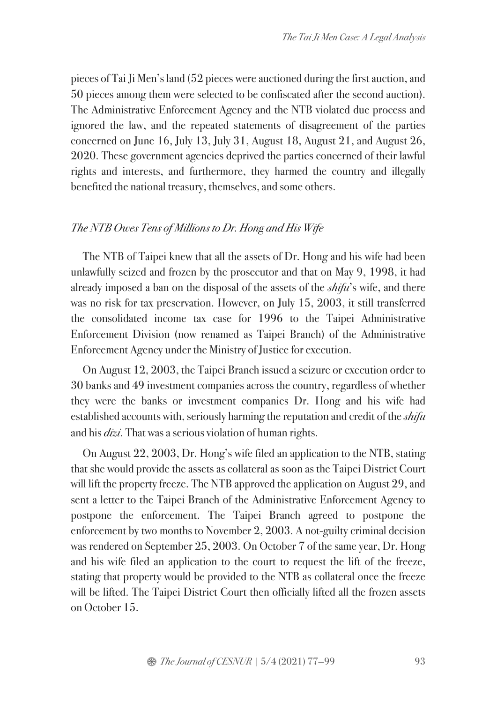pieces of Tai Ji Men's land (52 pieces were auctioned during the first auction, and 50 pieces among them were selected to be confiscated after the second auction). The Administrative Enforcement Agency and the NTB violated due process and ignored the law, and the repeated statements of disagreement of the parties concerned on June 16, July 13, July 31, August 18, August 21, and August 26, 2020. These government agencies deprived the parties concerned of their lawful rights and interests, and furthermore, they harmed the country and illegally benefited the national treasury, themselves, and some others.

### *The NTB Owes Tens of Millions to Dr. Hong and His Wife*

The NTB of Taipei knew that all the assets of Dr. Hong and his wife had been unlawfully seized and frozen by the prosecutor and that on May 9, 1998, it had already imposed a ban on the disposal of the assets of the *shifu*'s wife, and there was no risk for tax preservation. However, on July 15, 2003, it still transferred the consolidated income tax case for 1996 to the Taipei Administrative Enforcement Division (now renamed as Taipei Branch) of the Administrative Enforcement Agency under the Ministry of Justice for execution.

On August 12, 2003, the Taipei Branch issued a seizure or execution order to 30 banks and 49 investment companies across the country, regardless of whether they were the banks or investment companies Dr. Hong and his wife had established accounts with, seriously harming the reputation and credit of the *shifu* and his *dizi*. That was a serious violation of human rights.

On August 22, 2003, Dr. Hong's wife filed an application to the NTB, stating that she would provide the assets as collateral as soon as the Taipei District Court will lift the property freeze. The NTB approved the application on August 29, and sent a letter to the Taipei Branch of the Administrative Enforcement Agency to postpone the enforcement. The Taipei Branch agreed to postpone the enforcement by two months to November 2, 2003. A not-guilty criminal decision was rendered on September 25, 2003. On October 7 of the same year, Dr. Hong and his wife filed an application to the court to request the lift of the freeze, stating that property would be provided to the NTB as collateral once the freeze will be lifted. The Taipei District Court then officially lifted all the frozen assets on October 15.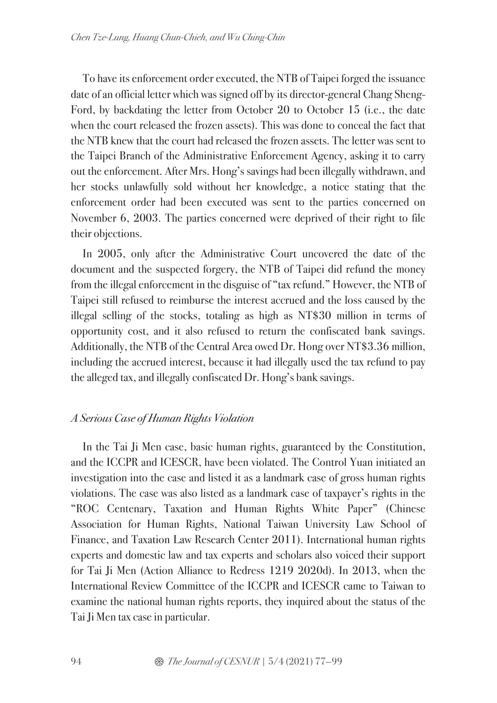To have its enforcement order executed, the NTB of Taipei forged the issuance date of an official letter which was signed off by its director-general Chang Sheng-Ford, by backdating the letter from October 20 to October 15 (i.e., the date when the court released the frozen assets). This was done to conceal the fact that the NTB knew that the court had released the frozen assets. The letter was sent to the Taipei Branch of the Administrative Enforcement Agency, asking it to carry out the enforcement. After Mrs. Hong's savings had been illegally withdrawn, and her stocks unlawfully sold without her knowledge, a notice stating that the enforcement order had been executed was sent to the parties concerned on November 6, 2003. The parties concerned were deprived of their right to file their objections.

In 2005, only after the Administrative Court uncovered the date of the document and the suspected forgery, the NTB of Taipei did refund the money from the illegal enforcement in the disguise of "tax refund." However, the NTB of Taipei still refused to reimburse the interest accrued and the loss caused by the illegal selling of the stocks, totaling as high as NT\$30 million in terms of opportunity cost, and it also refused to return the confiscated bank savings. Additionally, the NTB of the Central Area owed Dr. Hong over NT\$3.36 million, including the accrued interest, because it had illegally used the tax refund to pay the alleged tax, and illegally confiscated Dr. Hong's bank savings.

## *A Serious Case of Human Rights Violation*

In the Tai Ji Men case, basic human rights, guaranteed by the Constitution, and the ICCPR and ICESCR, have been violated. The Control Yuan initiated an investigation into the case and listed it as a landmark case of gross human rights violations. The case was also listed as a landmark case of taxpayer's rights in the "ROC Centenary, Taxation and Human Rights White Paper" (Chinese Association for Human Rights, National Taiwan University Law School of Finance, and Taxation Law Research Center 2011). International human rights experts and domestic law and tax experts and scholars also voiced their support for Tai Ji Men (Action Alliance to Redress 1219 2020d). In 2013, when the International Review Committee of the ICCPR and ICESCR came to Taiwan to examine the national human rights reports, they inquired about the status of the Tai Ji Men tax case in particular.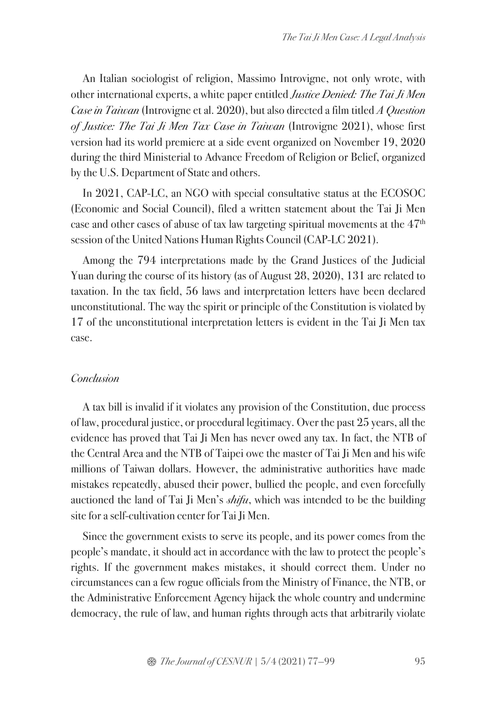An Italian sociologist of religion, Massimo Introvigne, not only wrote, with other international experts, a white paper entitled *Justice Denied: The Tai Ji Men Case in Taiwan* (Introvigne et al. 2020), but also directed a film titled *A Question of Justice: The Tai Ji Men Tax Case in Taiwan* (Introvigne 2021), whose first version had its world premiere at a side event organized on November 19, 2020 during the third Ministerial to Advance Freedom of Religion or Belief, organized by the U.S. Department of State and others.

In 2021, CAP-LC, an NGO with special consultative status at the ECOSOC (Economic and Social Council), filed a written statement about the Tai Ji Men case and other cases of abuse of tax law targeting spiritual movements at the 47th session of the United Nations Human Rights Council (CAP-LC 2021).

Among the 794 interpretations made by the Grand Justices of the Judicial Yuan during the course of its history (as of August 28, 2020), 131 are related to taxation. In the tax field, 56 laws and interpretation letters have been declared unconstitutional. The way the spirit or principle of the Constitution is violated by 17 of the unconstitutional interpretation letters is evident in the Tai Ji Men tax case.

#### *Conclusion*

A tax bill is invalid if it violates any provision of the Constitution, due process of law, procedural justice, or procedural legitimacy. Over the past 25 years, all the evidence has proved that Tai Ji Men has never owed any tax. In fact, the NTB of the Central Area and the NTB of Taipei owe the master of Tai Ji Men and his wife millions of Taiwan dollars. However, the administrative authorities have made mistakes repeatedly, abused their power, bullied the people, and even forcefully auctioned the land of Tai Ji Men's *shifu*, which was intended to be the building site for a self-cultivation center for Tai Ji Men.

Since the government exists to serve its people, and its power comes from the people's mandate, it should act in accordance with the law to protect the people's rights. If the government makes mistakes, it should correct them. Under no circumstances can a few rogue officials from the Ministry of Finance, the NTB, or the Administrative Enforcement Agency hijack the whole country and undermine democracy, the rule of law, and human rights through acts that arbitrarily violate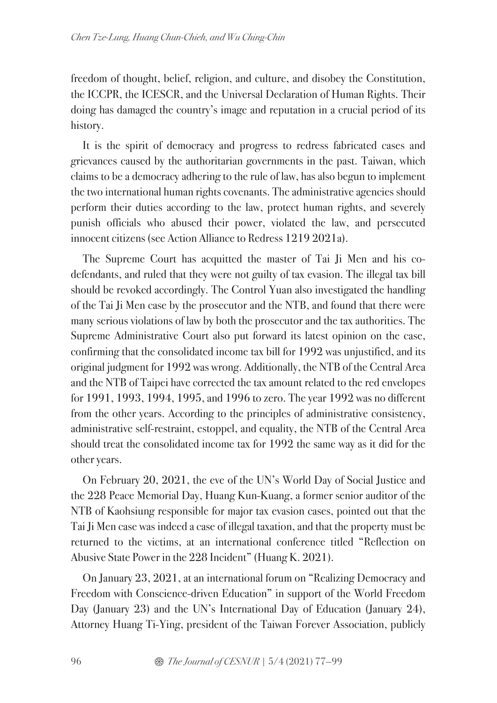freedom of thought, belief, religion, and culture, and disobey the Constitution, the ICCPR, the ICESCR, and the Universal Declaration of Human Rights. Their doing has damaged the country's image and reputation in a crucial period of its history.

It is the spirit of democracy and progress to redress fabricated cases and grievances caused by the authoritarian governments in the past. Taiwan, which claims to be a democracy adhering to the rule of law, has also begun to implement the two international human rights covenants. The administrative agencies should perform their duties according to the law, protect human rights, and severely punish officials who abused their power, violated the law, and persecuted innocent citizens (see Action Alliance to Redress 1219 2021a).

The Supreme Court has acquitted the master of Tai Ji Men and his codefendants, and ruled that they were not guilty of tax evasion. The illegal tax bill should be revoked accordingly. The Control Yuan also investigated the handling of the Tai Ji Men case by the prosecutor and the NTB, and found that there were many serious violations of law by both the prosecutor and the tax authorities. The Supreme Administrative Court also put forward its latest opinion on the case, confirming that the consolidated income tax bill for 1992 was unjustified, and its original judgment for 1992 was wrong. Additionally, the NTB of the Central Area and the NTB of Taipei have corrected the tax amount related to the red envelopes for 1991, 1993, 1994, 1995, and 1996 to zero. The year 1992 was no different from the other years. According to the principles of administrative consistency, administrative self-restraint, estoppel, and equality, the NTB of the Central Area should treat the consolidated income tax for 1992 the same way as it did for the other years.

On February 20, 2021, the eve of the UN's World Day of Social Justice and the 228 Peace Memorial Day, Huang Kun-Kuang, a former senior auditor of the NTB of Kaohsiung responsible for major tax evasion cases, pointed out that the Tai Ji Men case was indeed a case of illegal taxation, and that the property must be returned to the victims, at an international conference titled "Reflection on Abusive State Power in the 228 Incident" (Huang K. 2021).

On January 23, 2021, at an international forum on "Realizing Democracy and Freedom with Conscience-driven Education" in support of the World Freedom Day (January 23) and the UN's International Day of Education (January 24), Attorney Huang Ti-Ying, president of the Taiwan Forever Association, publicly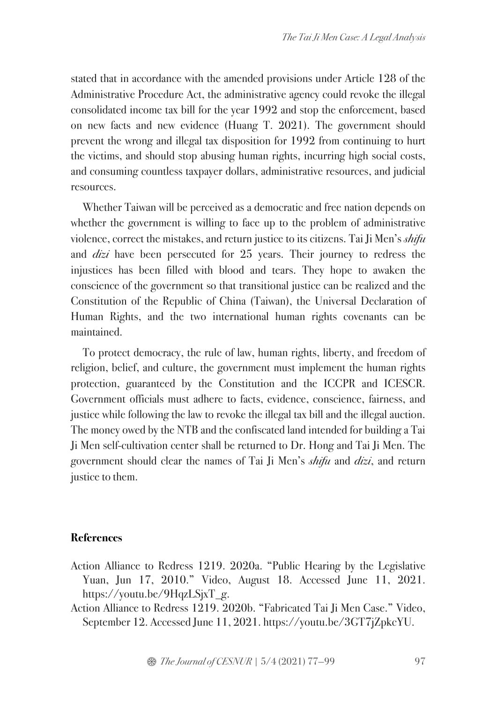stated that in accordance with the amended provisions under Article 128 of the Administrative Procedure Act, the administrative agency could revoke the illegal consolidated income tax bill for the year 1992 and stop the enforcement, based on new facts and new evidence (Huang T. 2021). The government should prevent the wrong and illegal tax disposition for 1992 from continuing to hurt the victims, and should stop abusing human rights, incurring high social costs, and consuming countless taxpayer dollars, administrative resources, and judicial resources.

Whether Taiwan will be perceived as a democratic and free nation depends on whether the government is willing to face up to the problem of administrative violence, correct the mistakes, and return justice to its citizens. Tai Ji Men's *shifu* and *dizi* have been persecuted for 25 years. Their journey to redress the injustices has been filled with blood and tears. They hope to awaken the conscience of the government so that transitional justice can be realized and the Constitution of the Republic of China (Taiwan), the Universal Declaration of Human Rights, and the two international human rights covenants can be maintained.

To protect democracy, the rule of law, human rights, liberty, and freedom of religion, belief, and culture, the government must implement the human rights protection, guaranteed by the Constitution and the ICCPR and ICESCR. Government officials must adhere to facts, evidence, conscience, fairness, and justice while following the law to revoke the illegal tax bill and the illegal auction. The money owed by the NTB and the confiscated land intended for building a Tai Ji Men self-cultivation center shall be returned to Dr. Hong and Tai Ji Men. The government should clear the names of Tai Ji Men's *shifu* and *dizi*, and return justice to them.

#### **References**

- Action Alliance to Redress 1219. 2020a. "Public Hearing by the Legislative Yuan, Jun 17, 2010." Video, August 18. Accessed June 11, 2021. https://youtu.be/9HqzLSjxT\_g.
- Action Alliance to Redress 1219. 2020b. "Fabricated Tai Ji Men Case." Video, September 12. Accessed June 11, 2021. https://youtu.be/3GT7jZpkcYU.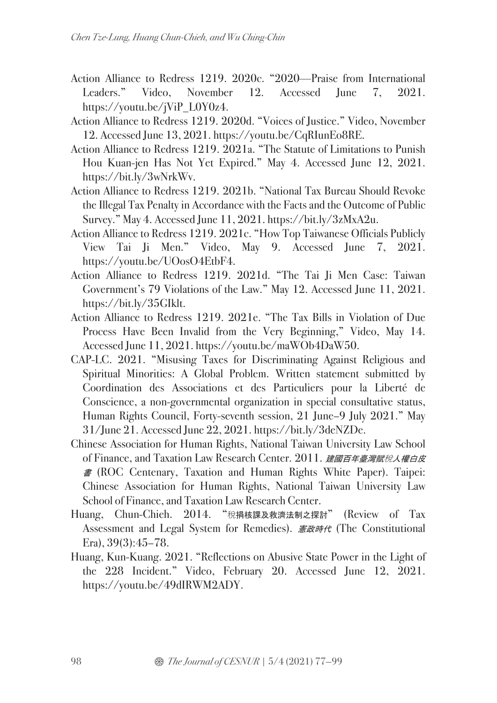- Action Alliance to Redress 1219. 2020c. "2020—Praise from International Leaders." Video, November 12. Accessed June 7, 2021. https://youtu.be/jViP\_L0Y0z4.
- Action Alliance to Redress 1219. 2020d. "Voices of Justice." Video, November 12. Accessed June 13, 2021. https://youtu.be/CqRIunEo8RE.
- Action Alliance to Redress 1219. 2021a. "The Statute of Limitations to Punish Hou Kuan-jen Has Not Yet Expired." May 4. Accessed June 12, 2021. https://bit.ly/3wNrkWv.
- Action Alliance to Redress 1219. 2021b. "National Tax Bureau Should Revoke the Illegal Tax Penalty in Accordance with the Facts and the Outcome of Public Survey." May 4. Accessed June 11, 2021. https://bit.ly/3zMxA2u.
- Action Alliance to Redress 1219. 2021c. "How Top Taiwanese Officials Publicly View Tai Ji Men." Video, May 9. Accessed June 7, 2021. https://youtu.be/UOosO4EtbF4.
- Action Alliance to Redress 1219. 2021d. "The Tai Ji Men Case: Taiwan Government's 79 Violations of the Law." May 12. Accessed June 11, 2021. https://bit.ly/35GIklt.
- Action Alliance to Redress 1219. 2021e. "The Tax Bills in Violation of Due Process Have Been Invalid from the Very Beginning," Video, May 14. Accessed June 11, 2021. https://youtu.be/maWOb4DaW50.
- CAP-LC. 2021. "Misusing Taxes for Discriminating Against Religious and Spiritual Minorities: A Global Problem. Written statement submitted by Coordination des Associations et des Particuliers pour la Liberté de Conscience, a non-governmental organization in special consultative status, Human Rights Council, Forty-seventh session, 21 June–9 July 2021." May 31/June 21. Accessed June 22, 2021. https://bit.ly/3deNZDe.
- Chinese Association for Human Rights, National Taiwan University Law School of Finance, and Taxation Law Research Center. 2011. 建國百年臺灣賦稅入權白皮 <sup>書</sup> (ROC Centenary, Taxation and Human Rights White Paper). Taipei: Chinese Association for Human Rights, National Taiwan University Law School of Finance, and Taxation Law Research Center.
- Huang, Chun-Chieh. 2014. "稅捐核課及救濟法制之探討" (Review of Tax Assessment and Legal System for Remedies). 憲政時代 (The Constitutional Era), 39(3):45–78.
- Huang, Kun-Kuang. 2021. "Reflections on Abusive State Power in the Light of the 228 Incident." Video, February 20. Accessed June 12, 2021. https://youtu.be/49dIRWM2ADY.